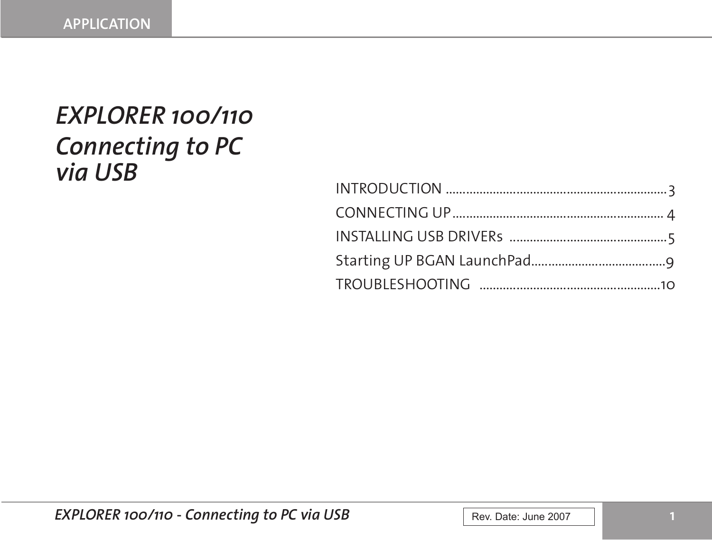# *EXPLORER 100/110 Connecting to PC via USB*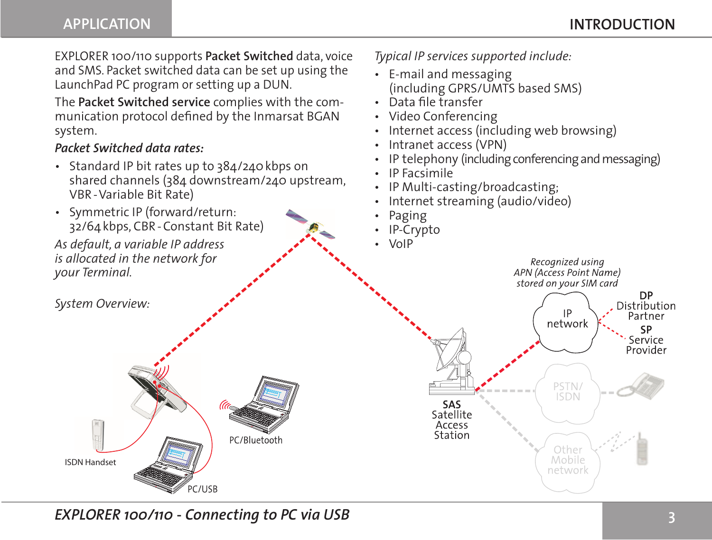EXPLORER 100/110 supports **Packet Switched** data, voice and SMS. Packet switched data can be set up using the LaunchPad PC program or setting up a DUN.

The **Packet Switched service** complies with the communication protocol defined by the Inmarsat BGAN system.

#### *Packet Switched data rates:*

- Standard IP bit rates up to 384/240 kbps on shared channels (384 downstream/240 upstream, VBR-Variable Bit Rate)
- Symmetric IP (forward/return: 32/64kbps, CBR-Constant Bit Rate)

*As default, a variable IP address is allocated in the network for your Terminal.*

*System Overview:*



*Typical IP services supported include:*

- E-mail and messaging (including GPRS/UMTS based SMS)
- Data file transfer
- Video Conferencing
- Internet access (including web browsing)
- Intranet access (VPN)
- IP telephony (including conferencing and messaging)
- IP Facsimile
- IP Multi-casting/broadcasting;
- Internet streaming (audio/video)
- Paging
- IP-Crypto
- VoIP



*EXPLORER 100/110 - Connecting to PC via USB*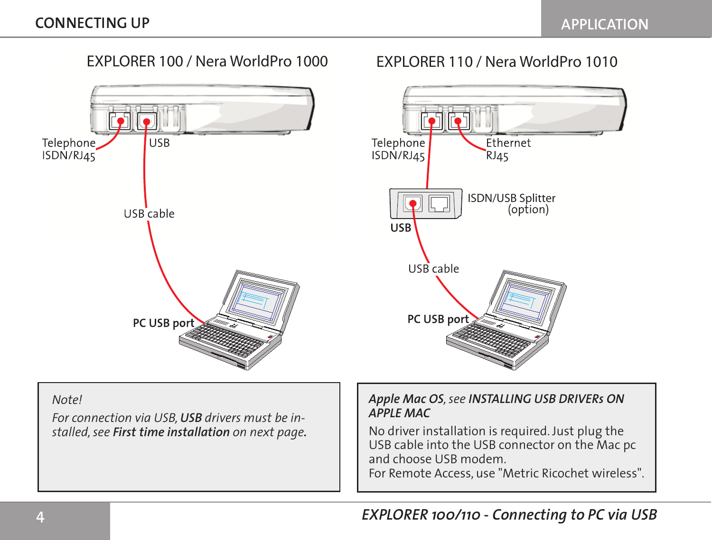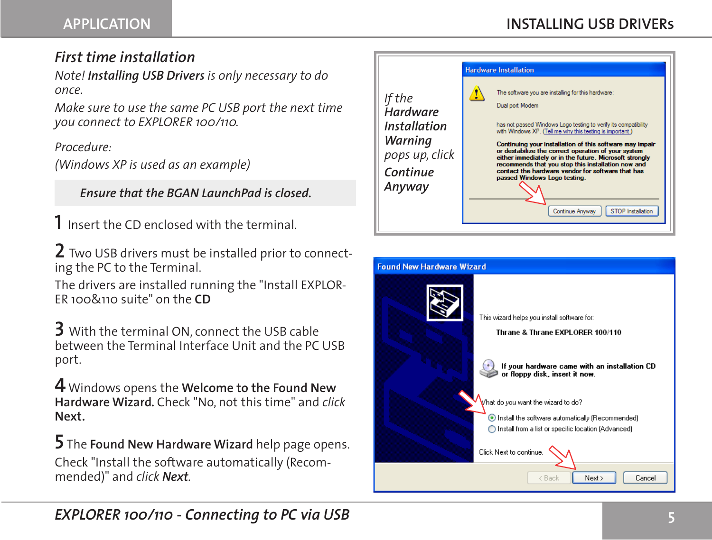## *First time installation*

*Note! Installing USB Drivers is only necessary to do once.*

*Make sure to use the same PC USB port the next time you connect to EXPLORER 100/110.*

*Procedure:*

*(Windows XP is used as an example)*

 *Ensure that the BGAN LaunchPad is closed.*

**1** Insert the CD enclosed with the terminal.

**2** Two USB drivers must be installed prior to connecting the PC to the Terminal.

The drivers are installed running the "Install EXPLOR-ER 100&110 suite" on the **CD**

**3** With the terminal ON, connect the USB cable between the Terminal Interface Unit and the PC USB port.

**4** Windows opens the **Welcome to the Found New Hardware Wizard***.* Check "No, not this time" and *click*  **Next.**

**5** The **Found New Hardware Wizard** help page opens. Check "Install the software automatically (Recommended)" and *click Next.*



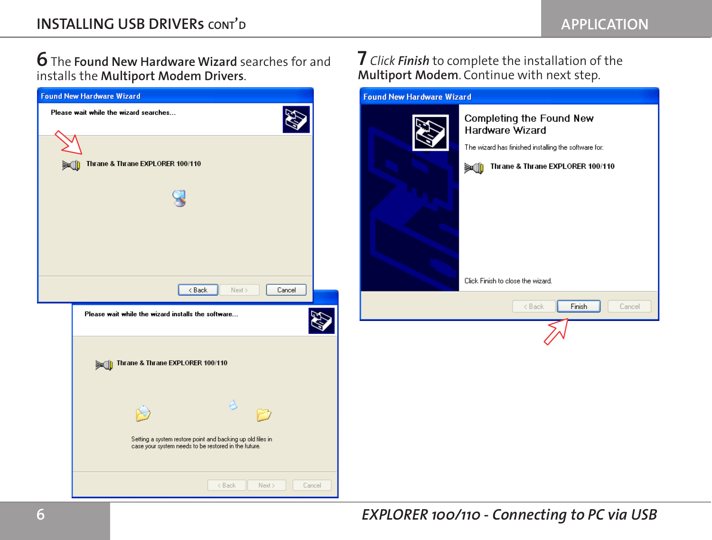**6** The **Found New Hardware Wizard** searches for and installs the **Multiport Modem Drivers**.



**7** *Click Finish* to complete the installation of the **Multiport Modem**. Continue with next step.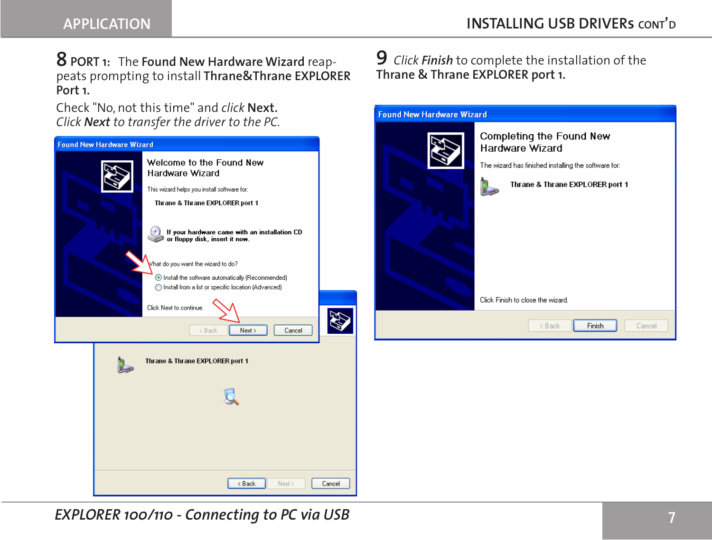### **8PORT 1:** The **Found New Hardware Wizard** reappeats prompting to install **Thrane&Thrane EXPLORER Port 1.**

Check "No, not this time" and *click* **Next.** *Click Next to transfer the driver to the PC.*



## **9** *Click Finish* to complete the installation of the **Thrane & Thrane EXPLORER port 1.**



*EXPLORER 100/110 - Connecting to PC via USB*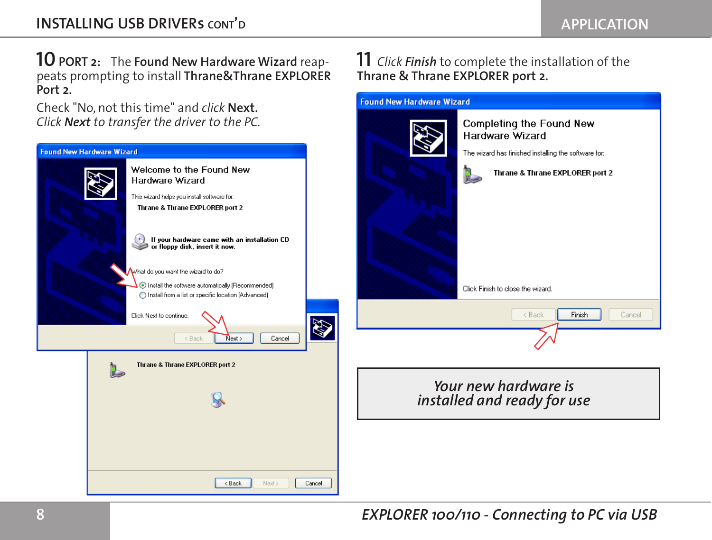**10PORT 2:** The **Found New Hardware Wizard** reappeats prompting to install **Thrane&Thrane EXPLORER Port 2.** 

Check "No, not this time" and *click* **Next.** *Click Next to transfer the driver to the PC.*



#### **11** *Click Finish* to complete the installation of the **Thrane & Thrane EXPLORER port 2.**

Completing the Found New

**Found New Hardware Wizard**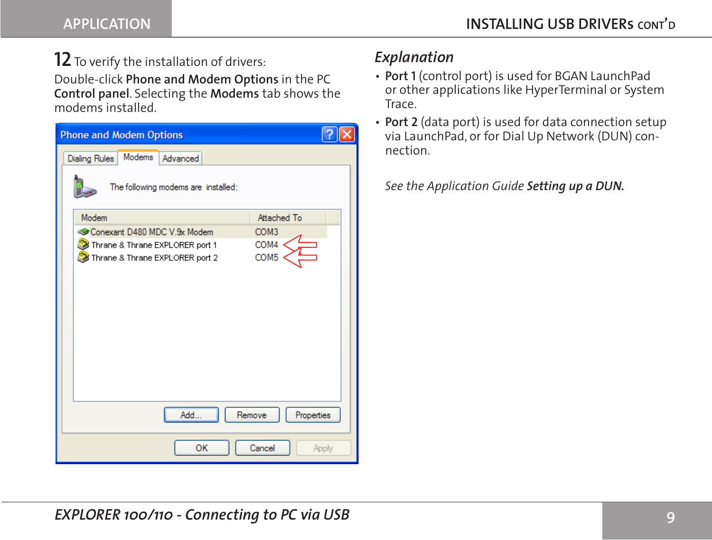## **12** To verify the installation of drivers:

Double-click **Phone and Modem Options** in the PC **Control panel**. Selecting the **Modems** tab shows the modems installed.

| <b>Phone and Modem Options</b>                      |  |
|-----------------------------------------------------|--|
| Modems<br><b>Dialing Rules</b><br>Advanced          |  |
| The following modems are installed:                 |  |
| Modem<br>Attached To                                |  |
| Conexant D480 MDC V.9x Modem<br>COM <sub>3</sub>    |  |
| COM4<br>Thrane & Thrane EXPLORER port 1             |  |
| COM <sub>5</sub><br>Thrane & Thrane EXPLORER port 2 |  |
|                                                     |  |
| Add<br>Remove<br>Properties                         |  |
| OK<br>Cancel<br>Apply                               |  |

## *Explanation*

- **Port 1** (control port) is used for BGAN LaunchPad or other applications like HyperTerminal or System Trace.
- **Port 2** (data port) is used for data connection setup via LaunchPad, or for Dial Up Network (DUN) connection.

*See the Application Guide Setting up a DUN.*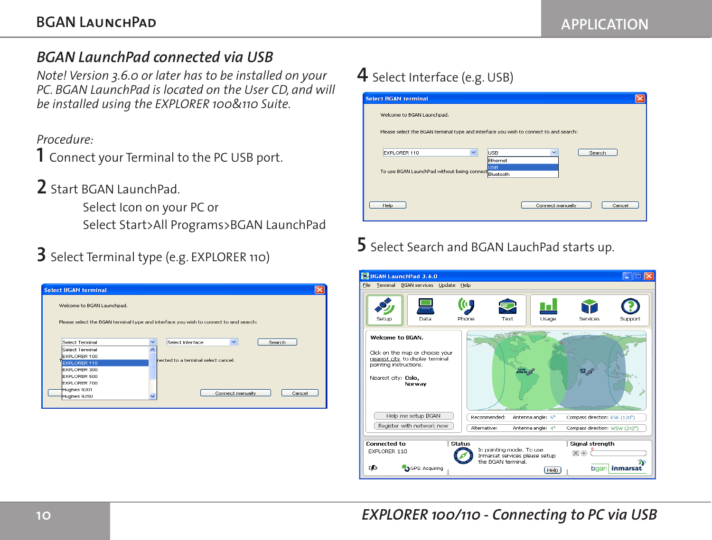## *BGAN LaunchPad connected via USB*

*Note! Version 3.6.0 or later has to be installed on your PC. BGAN LaunchPad is located on the User CD, and will be installed using the EXPLORER 100&110 Suite.*

#### *Procedure:*

**1** Connect your Terminal to the PC USB port.

**2** Start BGAN LaunchPad.

Select Icon on your PC or Select Start>All Programs>BGAN LaunchPad

# **3** Select Terminal type (e.g. EXPLORER 110)

| <b>Select BGAN terminal</b> |                          |                                                                                       |  |
|-----------------------------|--------------------------|---------------------------------------------------------------------------------------|--|
| Welcome to BGAN Launchpad.  |                          |                                                                                       |  |
|                             |                          |                                                                                       |  |
|                             |                          | Please select the BGAN terminal type and interface you wish to connect to and search: |  |
|                             | $\overline{\phantom{a}}$ | $\checkmark$                                                                          |  |
| Select Terminal             |                          | Select Interface<br>Search                                                            |  |
| Select Terminal             |                          |                                                                                       |  |
| EXPLORER 100                |                          | bected to a terminal select cancel.                                                   |  |
| <b>EXPLORER 110</b>         |                          |                                                                                       |  |
| <b>EXPLORER 300</b>         |                          |                                                                                       |  |
| EXPLORER 500                |                          |                                                                                       |  |
| EXPLORER 700                |                          |                                                                                       |  |
| Hughes 9201                 |                          |                                                                                       |  |
| Hughes 9250                 |                          | Connect manually<br>Cancel                                                            |  |
|                             |                          |                                                                                       |  |
|                             |                          |                                                                                       |  |

# **4** Select Interface (e.g. USB)

| <b>Select BGAN terminal</b>                                                           |  |
|---------------------------------------------------------------------------------------|--|
| Welcome to BGAN Launchpad.                                                            |  |
| Please select the BGAN terminal type and interface you wish to connect to and search: |  |
| $\checkmark$<br>$\checkmark$<br>EXPLORER 110<br><b>USB</b><br>Search                  |  |
| Ethernet<br><b>USB</b><br>To use BGAN LaunchPad without being connect Bluetooth       |  |
|                                                                                       |  |
| Connect manually<br>Help<br>Cancel                                                    |  |
|                                                                                       |  |

# **5** Select Search and BGAN LauchPad starts up.

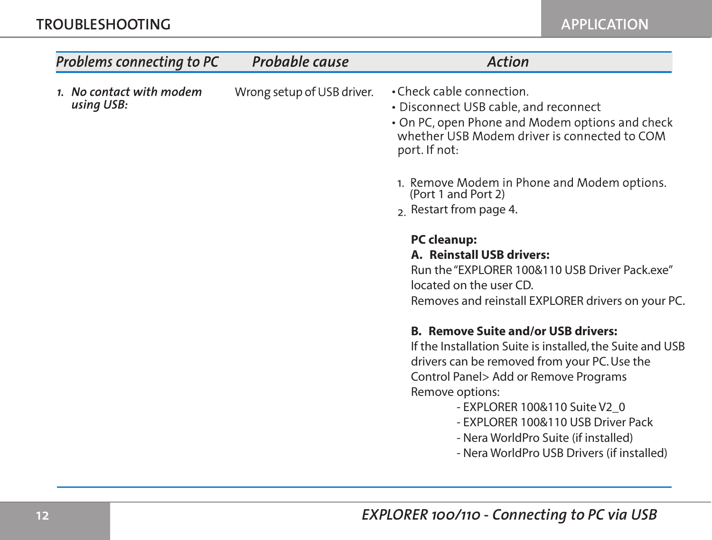**APPLICATION**

| Problems connecting to PC              | Probable cause             | <b>Action</b>                                                                                                                                                                                                                                                                                                                                                                    |
|----------------------------------------|----------------------------|----------------------------------------------------------------------------------------------------------------------------------------------------------------------------------------------------------------------------------------------------------------------------------------------------------------------------------------------------------------------------------|
| 1. No contact with modem<br>using USB: | Wrong setup of USB driver. | • Check cable connection.<br>• Disconnect USB cable, and reconnect<br>• On PC, open Phone and Modem options and check<br>whether USB Modem driver is connected to COM<br>port. If not:<br>1. Remove Modem in Phone and Modem options.<br>(Port 1 and Port 2)<br>2. Restart from page 4.                                                                                          |
|                                        |                            | <b>PC</b> cleanup:<br>A. Reinstall USB drivers:<br>Run the "EXPLORER 100&110 USB Driver Pack.exe"<br>located on the user CD.<br>Removes and reinstall EXPLORER drivers on your PC.                                                                                                                                                                                               |
|                                        |                            | <b>B. Remove Suite and/or USB drivers:</b><br>If the Installation Suite is installed, the Suite and USB<br>drivers can be removed from your PC. Use the<br>Control Panel> Add or Remove Programs<br>Remove options:<br>- EXPLORER 100&110 Suite V2_0<br>- EXPLORER 100&110 USB Driver Pack<br>- Nera WorldPro Suite (if installed)<br>- Nera WorldPro USB Drivers (if installed) |